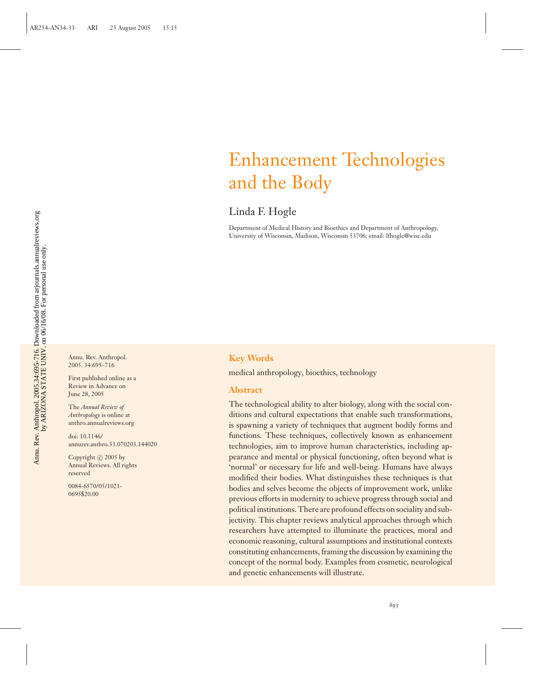# Enhancement Technologies and the Body

# Linda F. Hogle

Department of Medical History and Bioethics and Department of Anthropology, University of Wisconsin, Madison, Wisconsin 53706; email: lfhogle@wisc.edu

Annu. Rev. Anthropol. 2005. 34:695–716

First published online as a Review in Advance on June 28, 2005

The *Annual Review of Anthropology* is online at anthro.annualreviews.org

doi: 10.1146/ annurev.anthro.33.070203.144020

Copyright C 2005 by Annual Reviews. All rights reserved

0084-6570/05/1021- 0695\$20.00

## **Key Words**

medical anthropology, bioethics, technology

#### **Abstract**

The technological ability to alter biology, along with the social conditions and cultural expectations that enable such transformations, is spawning a variety of techniques that augment bodily forms and functions. These techniques, collectively known as enhancement technologies, aim to improve human characteristics, including appearance and mental or physical functioning, often beyond what is 'normal' or necessary for life and well-being. Humans have always modified their bodies. What distinguishes these techniques is that bodies and selves become the objects of improvement work, unlike previous efforts in modernity to achieve progress through social and political institutions. There are profound effects on sociality and subjectivity. This chapter reviews analytical approaches through which researchers have attempted to illuminate the practices, moral and economic reasoning, cultural assumptions and institutional contexts constituting enhancements, framing the discussion by examining the concept of the normal body. Examples from cosmetic, neurological and genetic enhancements will illustrate.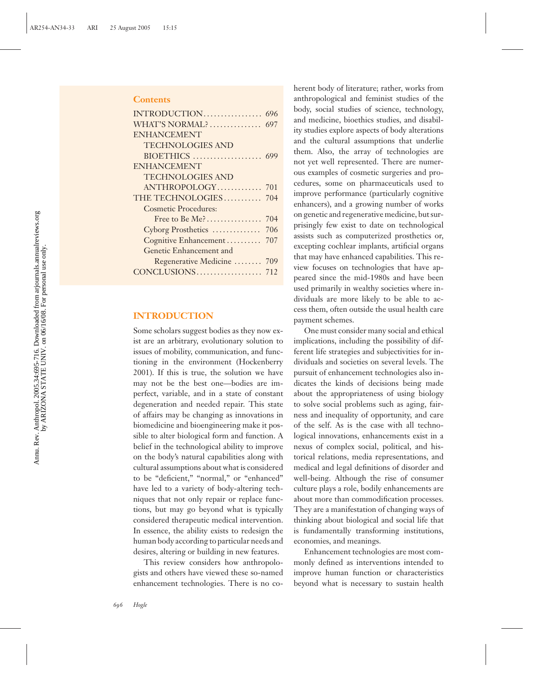| INTRODUCTION 696            |     |
|-----------------------------|-----|
| <b>WHAT'S NORMAL? 697</b>   |     |
| <b>ENHANCEMENT</b>          |     |
| <b>TECHNOLOGIES AND</b>     |     |
|                             |     |
| <b>ENHANCEMENT</b>          |     |
| <b>TECHNOLOGIES AND</b>     |     |
|                             |     |
| THE TECHNOLOGIES 704        |     |
| <b>Cosmetic Procedures:</b> |     |
| Free to Be Me?              | 704 |
| Cyborg Prosthetics          | 706 |
| Cognitive Enhancement       | 707 |
| Genetic Enhancement and     |     |
| Regenerative Medicine  709  |     |
|                             |     |
|                             |     |

#### **INTRODUCTION**

Some scholars suggest bodies as they now exist are an arbitrary, evolutionary solution to issues of mobility, communication, and functioning in the environment (Hockenberry 2001). If this is true, the solution we have may not be the best one—bodies are imperfect, variable, and in a state of constant degeneration and needed repair. This state of affairs may be changing as innovations in biomedicine and bioengineering make it possible to alter biological form and function. A belief in the technological ability to improve on the body's natural capabilities along with cultural assumptions about what is considered to be "deficient," "normal," or "enhanced" have led to a variety of body-altering techniques that not only repair or replace functions, but may go beyond what is typically considered therapeutic medical intervention. In essence, the ability exists to redesign the human body according to particular needs and desires, altering or building in new features.

This review considers how anthropologists and others have viewed these so-named enhancement technologies. There is no coherent body of literature; rather, works from anthropological and feminist studies of the body, social studies of science, technology, and medicine, bioethics studies, and disability studies explore aspects of body alterations and the cultural assumptions that underlie them. Also, the array of technologies are not yet well represented. There are numerous examples of cosmetic surgeries and procedures, some on pharmaceuticals used to improve performance (particularly cognitive enhancers), and a growing number of works on genetic and regenerative medicine, but surprisingly few exist to date on technological assists such as computerized prosthetics or, excepting cochlear implants, artificial organs that may have enhanced capabilities. This review focuses on technologies that have appeared since the mid-1980s and have been used primarily in wealthy societies where individuals are more likely to be able to access them, often outside the usual health care payment schemes.

One must consider many social and ethical implications, including the possibility of different life strategies and subjectivities for individuals and societies on several levels. The pursuit of enhancement technologies also indicates the kinds of decisions being made about the appropriateness of using biology to solve social problems such as aging, fairness and inequality of opportunity, and care of the self. As is the case with all technological innovations, enhancements exist in a nexus of complex social, political, and historical relations, media representations, and medical and legal definitions of disorder and well-being. Although the rise of consumer culture plays a role, bodily enhancements are about more than commodification processes. They are a manifestation of changing ways of thinking about biological and social life that is fundamentally transforming institutions, economies, and meanings.

Enhancement technologies are most commonly defined as interventions intended to improve human function or characteristics beyond what is necessary to sustain health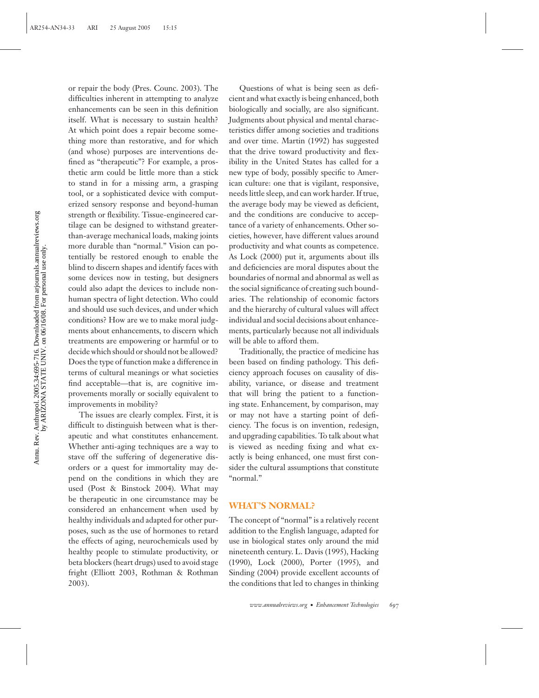or repair the body (Pres. Counc. 2003). The difficulties inherent in attempting to analyze enhancements can be seen in this definition itself. What is necessary to sustain health? At which point does a repair become something more than restorative, and for which (and whose) purposes are interventions defined as "therapeutic"? For example, a prosthetic arm could be little more than a stick to stand in for a missing arm, a grasping tool, or a sophisticated device with computerized sensory response and beyond-human strength or flexibility. Tissue-engineered cartilage can be designed to withstand greaterthan-average mechanical loads, making joints more durable than "normal." Vision can potentially be restored enough to enable the blind to discern shapes and identify faces with some devices now in testing, but designers could also adapt the devices to include nonhuman spectra of light detection. Who could and should use such devices, and under which conditions? How are we to make moral judgments about enhancements, to discern which treatments are empowering or harmful or to decide which should or should not be allowed? Does the type of function make a difference in terms of cultural meanings or what societies find acceptable—that is, are cognitive improvements morally or socially equivalent to improvements in mobility?

The issues are clearly complex. First, it is difficult to distinguish between what is therapeutic and what constitutes enhancement. Whether anti-aging techniques are a way to stave off the suffering of degenerative disorders or a quest for immortality may depend on the conditions in which they are used (Post & Binstock 2004). What may be therapeutic in one circumstance may be considered an enhancement when used by healthy individuals and adapted for other purposes, such as the use of hormones to retard the effects of aging, neurochemicals used by healthy people to stimulate productivity, or beta blockers (heart drugs) used to avoid stage fright (Elliott 2003, Rothman & Rothman 2003).

Questions of what is being seen as deficient and what exactly is being enhanced, both biologically and socially, are also significant. Judgments about physical and mental characteristics differ among societies and traditions and over time. Martin (1992) has suggested that the drive toward productivity and flexibility in the United States has called for a new type of body, possibly specific to American culture: one that is vigilant, responsive, needs little sleep, and can work harder. If true, the average body may be viewed as deficient, and the conditions are conducive to acceptance of a variety of enhancements. Other societies, however, have different values around productivity and what counts as competence. As Lock (2000) put it, arguments about ills and deficiencies are moral disputes about the boundaries of normal and abnormal as well as the social significance of creating such boundaries. The relationship of economic factors and the hierarchy of cultural values will affect individual and social decisions about enhancements, particularly because not all individuals will be able to afford them.

Traditionally, the practice of medicine has been based on finding pathology. This deficiency approach focuses on causality of disability, variance, or disease and treatment that will bring the patient to a functioning state. Enhancement, by comparison, may or may not have a starting point of deficiency. The focus is on invention, redesign, and upgrading capabilities. To talk about what is viewed as needing fixing and what exactly is being enhanced, one must first consider the cultural assumptions that constitute "normal."

## **WHAT'S NORMAL?**

The concept of "normal" is a relatively recent addition to the English language, adapted for use in biological states only around the mid nineteenth century. L. Davis (1995), Hacking (1990), Lock (2000), Porter (1995), and Sinding (2004) provide excellent accounts of the conditions that led to changes in thinking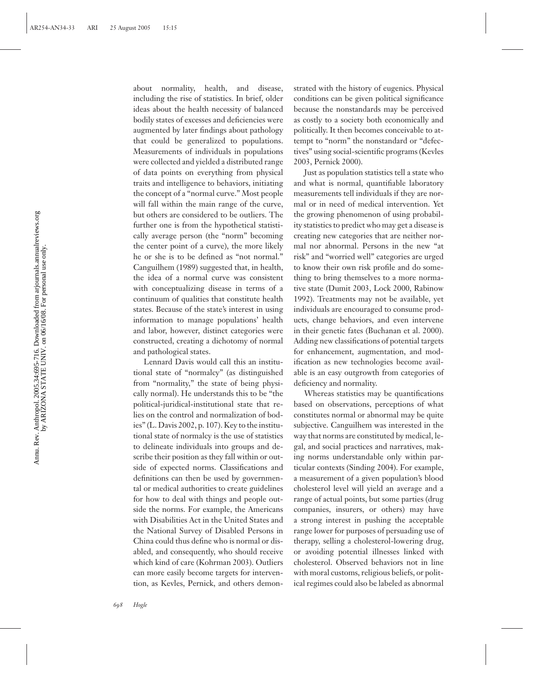about normality, health, and disease, including the rise of statistics. In brief, older ideas about the health necessity of balanced bodily states of excesses and deficiencies were augmented by later findings about pathology that could be generalized to populations. Measurements of individuals in populations were collected and yielded a distributed range of data points on everything from physical traits and intelligence to behaviors, initiating the concept of a "normal curve." Most people will fall within the main range of the curve, but others are considered to be outliers. The further one is from the hypothetical statistically average person (the "norm" becoming the center point of a curve), the more likely he or she is to be defined as "not normal." Canguilhem (1989) suggested that, in health, the idea of a normal curve was consistent with conceptualizing disease in terms of a continuum of qualities that constitute health states. Because of the state's interest in using information to manage populations' health and labor, however, distinct categories were constructed, creating a dichotomy of normal and pathological states.

Lennard Davis would call this an institutional state of "normalcy" (as distinguished from "normality," the state of being physically normal). He understands this to be "the political-juridical-institutional state that relies on the control and normalization of bodies" (L. Davis 2002, p. 107). Key to the institutional state of normalcy is the use of statistics to delineate individuals into groups and describe their position as they fall within or outside of expected norms. Classifications and definitions can then be used by governmental or medical authorities to create guidelines for how to deal with things and people outside the norms. For example, the Americans with Disabilities Act in the United States and the National Survey of Disabled Persons in China could thus define who is normal or disabled, and consequently, who should receive which kind of care (Kohrman 2003). Outliers can more easily become targets for intervention, as Kevles, Pernick, and others demonstrated with the history of eugenics. Physical conditions can be given political significance because the nonstandards may be perceived as costly to a society both economically and politically. It then becomes conceivable to attempt to "norm" the nonstandard or "defectives" using social-scientific programs (Kevles 2003, Pernick 2000).

Just as population statistics tell a state who and what is normal, quantifiable laboratory measurements tell individuals if they are normal or in need of medical intervention. Yet the growing phenomenon of using probability statistics to predict who may get a disease is creating new categories that are neither normal nor abnormal. Persons in the new "at risk" and "worried well" categories are urged to know their own risk profile and do something to bring themselves to a more normative state (Dumit 2003, Lock 2000, Rabinow 1992). Treatments may not be available, yet individuals are encouraged to consume products, change behaviors, and even intervene in their genetic fates (Buchanan et al. 2000). Adding new classifications of potential targets for enhancement, augmentation, and modification as new technologies become available is an easy outgrowth from categories of deficiency and normality.

Whereas statistics may be quantifications based on observations, perceptions of what constitutes normal or abnormal may be quite subjective. Canguilhem was interested in the way that norms are constituted by medical, legal, and social practices and narratives, making norms understandable only within particular contexts (Sinding 2004). For example, a measurement of a given population's blood cholesterol level will yield an average and a range of actual points, but some parties (drug companies, insurers, or others) may have a strong interest in pushing the acceptable range lower for purposes of persuading use of therapy, selling a cholesterol-lowering drug, or avoiding potential illnesses linked with cholesterol. Observed behaviors not in line with moral customs, religious beliefs, or political regimes could also be labeled as abnormal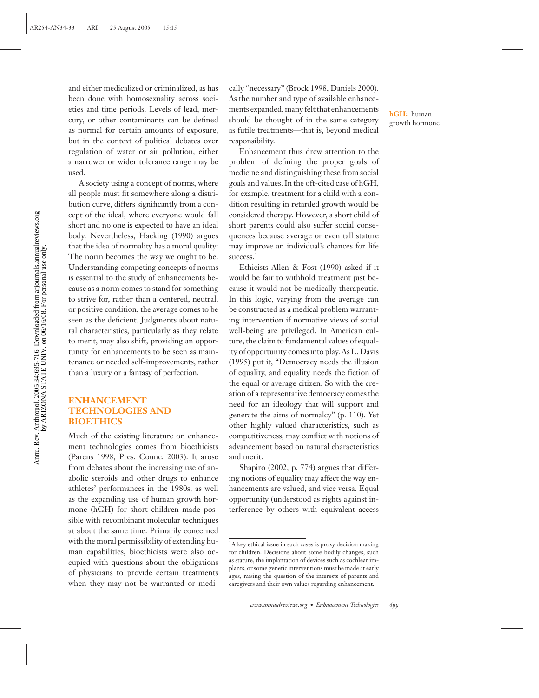and either medicalized or criminalized, as has been done with homosexuality across societies and time periods. Levels of lead, mercury, or other contaminants can be defined as normal for certain amounts of exposure, but in the context of political debates over regulation of water or air pollution, either a narrower or wider tolerance range may be used.

A society using a concept of norms, where all people must fit somewhere along a distribution curve, differs significantly from a concept of the ideal, where everyone would fall short and no one is expected to have an ideal body. Nevertheless, Hacking (1990) argues that the idea of normality has a moral quality: The norm becomes the way we ought to be. Understanding competing concepts of norms is essential to the study of enhancements because as a norm comes to stand for something to strive for, rather than a centered, neutral, or positive condition, the average comes to be seen as the deficient. Judgments about natural characteristics, particularly as they relate to merit, may also shift, providing an opportunity for enhancements to be seen as maintenance or needed self-improvements, rather than a luxury or a fantasy of perfection.

## **ENHANCEMENT TECHNOLOGIES AND BIOETHICS**

Much of the existing literature on enhancement technologies comes from bioethicists (Parens 1998, Pres. Counc. 2003). It arose from debates about the increasing use of anabolic steroids and other drugs to enhance athletes' performances in the 1980s, as well as the expanding use of human growth hormone (hGH) for short children made possible with recombinant molecular techniques at about the same time. Primarily concerned with the moral permissibility of extending human capabilities, bioethicists were also occupied with questions about the obligations of physicians to provide certain treatments when they may not be warranted or medically "necessary" (Brock 1998, Daniels 2000). As the number and type of available enhancements expanded, many felt that enhancements should be thought of in the same category as futile treatments—that is, beyond medical responsibility.

Enhancement thus drew attention to the problem of defining the proper goals of medicine and distinguishing these from social goals and values. In the oft-cited case of hGH, for example, treatment for a child with a condition resulting in retarded growth would be considered therapy. However, a short child of short parents could also suffer social consequences because average or even tall stature may improve an individual's chances for life success.

Ethicists Allen & Fost (1990) asked if it would be fair to withhold treatment just because it would not be medically therapeutic. In this logic, varying from the average can be constructed as a medical problem warranting intervention if normative views of social well-being are privileged. In American culture, the claim to fundamental values of equality of opportunity comes into play. As L. Davis (1995) put it, "Democracy needs the illusion of equality, and equality needs the fiction of the equal or average citizen. So with the creation of a representative democracy comes the need for an ideology that will support and generate the aims of normalcy" (p. 110). Yet other highly valued characteristics, such as competitiveness, may conflict with notions of advancement based on natural characteristics and merit.

Shapiro (2002, p. 774) argues that differing notions of equality may affect the way enhancements are valued, and vice versa. Equal opportunity (understood as rights against interference by others with equivalent access **hGH:** human growth hormone

<sup>&</sup>lt;sup>1</sup>A key ethical issue in such cases is proxy decision making for children. Decisions about some bodily changes, such as stature, the implantation of devices such as cochlear implants, or some genetic interventions must be made at early ages, raising the question of the interests of parents and caregivers and their own values regarding enhancement.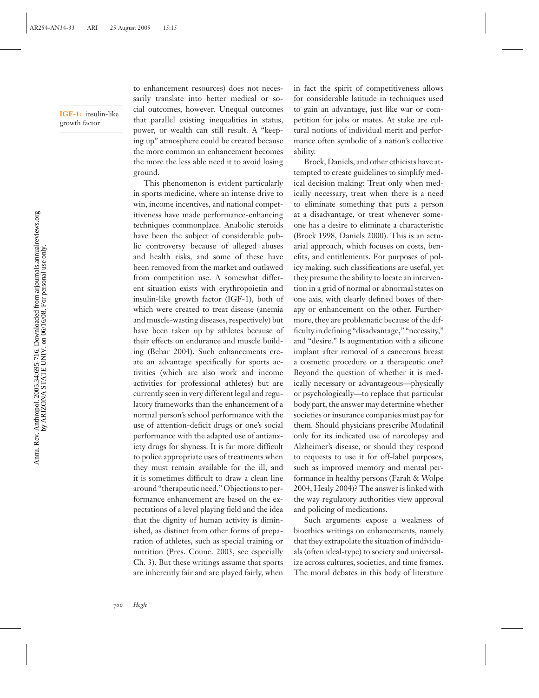**IGF-1:** insulin-like growth factor

to enhancement resources) does not necessarily translate into better medical or social outcomes, however. Unequal outcomes that parallel existing inequalities in status, power, or wealth can still result. A "keeping up" atmosphere could be created because the more common an enhancement becomes the more the less able need it to avoid losing ground.

This phenomenon is evident particularly in sports medicine, where an intense drive to win, income incentives, and national competitiveness have made performance-enhancing techniques commonplace. Anabolic steroids have been the subject of considerable public controversy because of alleged abuses and health risks, and some of these have been removed from the market and outlawed from competition use. A somewhat different situation exists with erythropoietin and insulin-like growth factor (IGF-1), both of which were created to treat disease (anemia and muscle-wasting diseases, respectively) but have been taken up by athletes because of their effects on endurance and muscle building (Behar 2004). Such enhancements create an advantage specifically for sports activities (which are also work and income activities for professional athletes) but are currently seen in very different legal and regulatory frameworks than the enhancement of a normal person's school performance with the use of attention-deficit drugs or one's social performance with the adapted use of antianxiety drugs for shyness. It is far more difficult to police appropriate uses of treatments when they must remain available for the ill, and it is sometimes difficult to draw a clean line around "therapeutic need." Objections to performance enhancement are based on the expectations of a level playing field and the idea that the dignity of human activity is diminished, as distinct from other forms of preparation of athletes, such as special training or nutrition (Pres. Counc. 2003, see especially Ch. 3). But these writings assume that sports are inherently fair and are played fairly, when in fact the spirit of competitiveness allows for considerable latitude in techniques used to gain an advantage, just like war or competition for jobs or mates. At stake are cultural notions of individual merit and performance often symbolic of a nation's collective ability.

Brock, Daniels, and other ethicists have attempted to create guidelines to simplify medical decision making: Treat only when medically necessary, treat when there is a need to eliminate something that puts a person at a disadvantage, or treat whenever someone has a desire to eliminate a characteristic (Brock 1998, Daniels 2000). This is an actuarial approach, which focuses on costs, benefits, and entitlements. For purposes of policy making, such classifications are useful, yet they presume the ability to locate an intervention in a grid of normal or abnormal states on one axis, with clearly defined boxes of therapy or enhancement on the other. Furthermore, they are problematic because of the difficulty in defining "disadvantage," "necessity," and "desire." Is augmentation with a silicone implant after removal of a cancerous breast a cosmetic procedure or a therapeutic one? Beyond the question of whether it is medically necessary or advantageous—physically or psychologically—to replace that particular body part, the answer may determine whether societies or insurance companies must pay for them. Should physicians prescribe Modafinil only for its indicated use of narcolepsy and Alzheimer's disease, or should they respond to requests to use it for off-label purposes, such as improved memory and mental performance in healthy persons (Farah & Wolpe 2004, Healy 2004)? The answer is linked with the way regulatory authorities view approval and policing of medications.

Such arguments expose a weakness of bioethics writings on enhancements, namely that they extrapolate the situation of individuals (often ideal-type) to society and universalize across cultures, societies, and time frames. The moral debates in this body of literature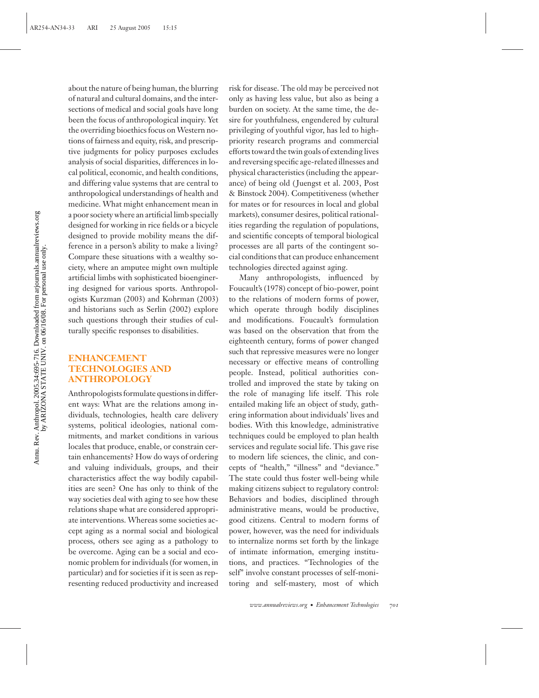about the nature of being human, the blurring of natural and cultural domains, and the intersections of medical and social goals have long been the focus of anthropological inquiry. Yet the overriding bioethics focus on Western notions of fairness and equity, risk, and prescriptive judgments for policy purposes excludes analysis of social disparities, differences in local political, economic, and health conditions, and differing value systems that are central to anthropological understandings of health and medicine. What might enhancement mean in a poor society where an artificial limb specially designed for working in rice fields or a bicycle designed to provide mobility means the difference in a person's ability to make a living? Compare these situations with a wealthy society, where an amputee might own multiple artificial limbs with sophisticated bioenginering designed for various sports. Anthropologists Kurzman (2003) and Kohrman (2003) and historians such as Serlin (2002) explore such questions through their studies of culturally specific responses to disabilities.

## **ENHANCEMENT TECHNOLOGIES AND ANTHROPOLOGY**

Anthropologists formulate questions in different ways: What are the relations among individuals, technologies, health care delivery systems, political ideologies, national commitments, and market conditions in various locales that produce, enable, or constrain certain enhancements? How do ways of ordering and valuing individuals, groups, and their characteristics affect the way bodily capabilities are seen? One has only to think of the way societies deal with aging to see how these relations shape what are considered appropriate interventions. Whereas some societies accept aging as a normal social and biological process, others see aging as a pathology to be overcome. Aging can be a social and economic problem for individuals (for women, in particular) and for societies if it is seen as representing reduced productivity and increased risk for disease. The old may be perceived not only as having less value, but also as being a burden on society. At the same time, the desire for youthfulness, engendered by cultural privileging of youthful vigor, has led to highpriority research programs and commercial efforts toward the twin goals of extending lives and reversing specific age-related illnesses and physical characteristics (including the appearance) of being old ( Juengst et al. 2003, Post & Binstock 2004). Competitiveness (whether for mates or for resources in local and global markets), consumer desires, political rationalities regarding the regulation of populations, and scientific concepts of temporal biological processes are all parts of the contingent social conditions that can produce enhancement technologies directed against aging.

Many anthropologists, influenced by Foucault's (1978) concept of bio-power, point to the relations of modern forms of power, which operate through bodily disciplines and modifications. Foucault's formulation was based on the observation that from the eighteenth century, forms of power changed such that repressive measures were no longer necessary or effective means of controlling people. Instead, political authorities controlled and improved the state by taking on the role of managing life itself. This role entailed making life an object of study, gathering information about individuals' lives and bodies. With this knowledge, administrative techniques could be employed to plan health services and regulate social life. This gave rise to modern life sciences, the clinic, and concepts of "health," "illness" and "deviance." The state could thus foster well-being while making citizens subject to regulatory control: Behaviors and bodies, disciplined through administrative means, would be productive, good citizens. Central to modern forms of power, however, was the need for individuals to internalize norms set forth by the linkage of intimate information, emerging institutions, and practices. "Technologies of the self" involve constant processes of self-monitoring and self-mastery, most of which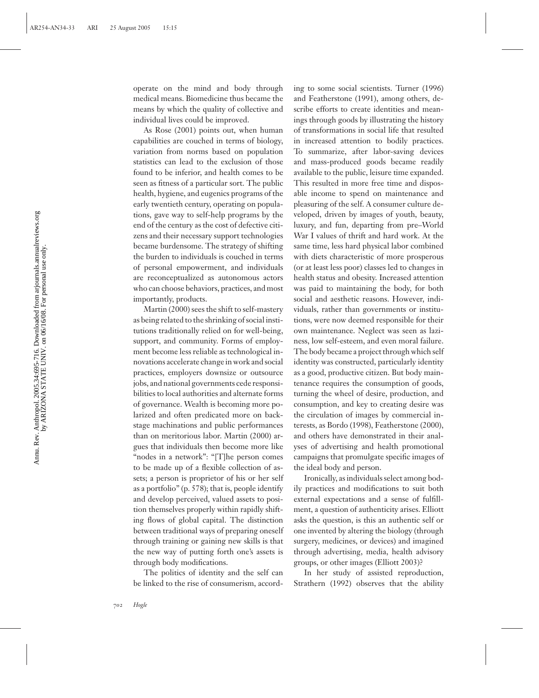operate on the mind and body through medical means. Biomedicine thus became the means by which the quality of collective and individual lives could be improved.

As Rose (2001) points out, when human capabilities are couched in terms of biology, variation from norms based on population statistics can lead to the exclusion of those found to be inferior, and health comes to be seen as fitness of a particular sort. The public health, hygiene, and eugenics programs of the early twentieth century, operating on populations, gave way to self-help programs by the end of the century as the cost of defective citizens and their necessary support technologies became burdensome. The strategy of shifting the burden to individuals is couched in terms of personal empowerment, and individuals are reconceptualized as autonomous actors who can choose behaviors, practices, and most importantly, products.

Martin (2000) sees the shift to self-mastery as being related to the shrinking of social institutions traditionally relied on for well-being, support, and community. Forms of employment become less reliable as technological innovations accelerate change in work and social practices, employers downsize or outsource jobs, and national governments cede responsibilities to local authorities and alternate forms of governance. Wealth is becoming more polarized and often predicated more on backstage machinations and public performances than on meritorious labor. Martin (2000) argues that individuals then become more like "nodes in a network": "[T]he person comes to be made up of a flexible collection of assets; a person is proprietor of his or her self as a portfolio" (p. 578); that is, people identify and develop perceived, valued assets to position themselves properly within rapidly shifting flows of global capital. The distinction between traditional ways of preparing oneself through training or gaining new skills is that the new way of putting forth one's assets is through body modifications.

The politics of identity and the self can be linked to the rise of consumerism, according to some social scientists. Turner (1996) and Featherstone (1991), among others, describe efforts to create identities and meanings through goods by illustrating the history of transformations in social life that resulted in increased attention to bodily practices. To summarize, after labor-saving devices and mass-produced goods became readily available to the public, leisure time expanded. This resulted in more free time and disposable income to spend on maintenance and pleasuring of the self. A consumer culture developed, driven by images of youth, beauty, luxury, and fun, departing from pre–World War I values of thrift and hard work. At the same time, less hard physical labor combined with diets characteristic of more prosperous (or at least less poor) classes led to changes in health status and obesity. Increased attention was paid to maintaining the body, for both social and aesthetic reasons. However, individuals, rather than governments or institutions, were now deemed responsible for their own maintenance. Neglect was seen as laziness, low self-esteem, and even moral failure. The body became a project through which self identity was constructed, particularly identity as a good, productive citizen. But body maintenance requires the consumption of goods, turning the wheel of desire, production, and consumption, and key to creating desire was the circulation of images by commercial interests, as Bordo (1998), Featherstone (2000), and others have demonstrated in their analyses of advertising and health promotional campaigns that promulgate specific images of the ideal body and person.

Ironically, as individuals select among bodily practices and modifications to suit both external expectations and a sense of fulfillment, a question of authenticity arises. Elliott asks the question, is this an authentic self or one invented by altering the biology (through surgery, medicines, or devices) and imagined through advertising, media, health advisory groups, or other images (Elliott 2003)?

In her study of assisted reproduction, Strathern (1992) observes that the ability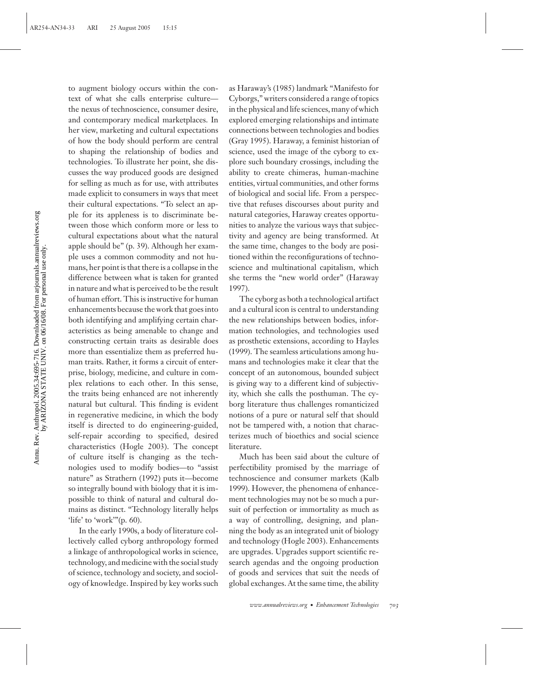to augment biology occurs within the context of what she calls enterprise culture the nexus of technoscience, consumer desire, and contemporary medical marketplaces. In her view, marketing and cultural expectations of how the body should perform are central to shaping the relationship of bodies and technologies. To illustrate her point, she discusses the way produced goods are designed for selling as much as for use, with attributes made explicit to consumers in ways that meet their cultural expectations. "To select an apple for its appleness is to discriminate between those which conform more or less to cultural expectations about what the natural apple should be" (p. 39). Although her example uses a common commodity and not humans, her point is that there is a collapse in the difference between what is taken for granted in nature and what is perceived to be the result of human effort. This is instructive for human enhancements because the work that goes into both identifying and amplifying certain characteristics as being amenable to change and constructing certain traits as desirable does more than essentialize them as preferred human traits. Rather, it forms a circuit of enterprise, biology, medicine, and culture in complex relations to each other. In this sense, the traits being enhanced are not inherently natural but cultural. This finding is evident in regenerative medicine, in which the body itself is directed to do engineering-guided, self-repair according to specified, desired characteristics (Hogle 2003). The concept of culture itself is changing as the technologies used to modify bodies—to "assist nature" as Strathern (1992) puts it—become so integrally bound with biology that it is impossible to think of natural and cultural domains as distinct. "Technology literally helps 'life' to 'work'"(p. 60).

In the early 1990s, a body of literature collectively called cyborg anthropology formed a linkage of anthropological works in science, technology, and medicine with the social study of science, technology and society, and sociology of knowledge. Inspired by key works such as Haraway's (1985) landmark "Manifesto for Cyborgs," writers considered a range of topics in the physical and life sciences, many of which explored emerging relationships and intimate connections between technologies and bodies (Gray 1995). Haraway, a feminist historian of science, used the image of the cyborg to explore such boundary crossings, including the ability to create chimeras, human-machine entities, virtual communities, and other forms of biological and social life. From a perspective that refuses discourses about purity and natural categories, Haraway creates opportunities to analyze the various ways that subjectivity and agency are being transformed. At the same time, changes to the body are positioned within the reconfigurations of technoscience and multinational capitalism, which she terms the "new world order" (Haraway 1997).

The cyborg as both a technological artifact and a cultural icon is central to understanding the new relationships between bodies, information technologies, and technologies used as prosthetic extensions, according to Hayles (1999). The seamless articulations among humans and technologies make it clear that the concept of an autonomous, bounded subject is giving way to a different kind of subjectivity, which she calls the posthuman. The cyborg literature thus challenges romanticized notions of a pure or natural self that should not be tampered with, a notion that characterizes much of bioethics and social science literature.

Much has been said about the culture of perfectibility promised by the marriage of technoscience and consumer markets (Kalb 1999). However, the phenomena of enhancement technologies may not be so much a pursuit of perfection or immortality as much as a way of controlling, designing, and planning the body as an integrated unit of biology and technology (Hogle 2003). Enhancements are upgrades. Upgrades support scientific research agendas and the ongoing production of goods and services that suit the needs of global exchanges. At the same time, the ability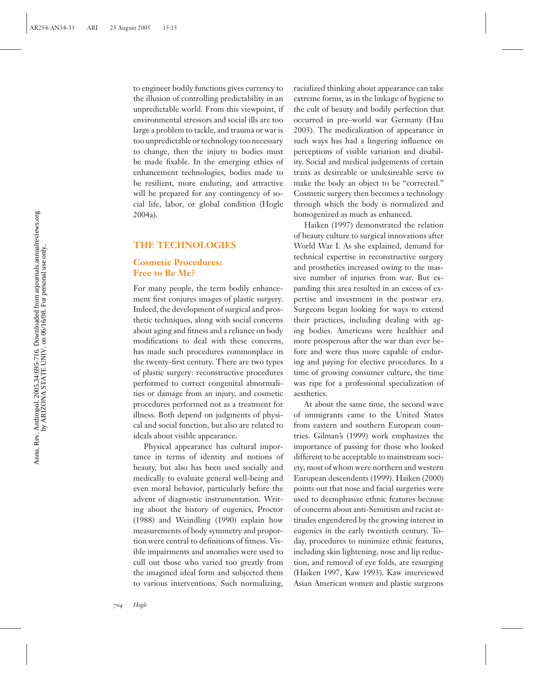to engineer bodily functions gives currency to the illusion of controlling predictability in an unpredictable world. From this viewpoint, if environmental stressors and social ills are too large a problem to tackle, and trauma or war is too unpredictable or technology too necessary to change, then the injury to bodies must be made fixable. In the emerging ethics of enhancement technologies, bodies made to be resilient, more enduring, and attractive will be prepared for any contingency of social life, labor, or global condition (Hogle 2004a).

#### **THE TECHNOLOGIES**

## **Cosmetic Procedures: Free to Be Me?**

For many people, the term bodily enhancement first conjures images of plastic surgery. Indeed, the development of surgical and prosthetic techniques, along with social concerns about aging and fitness and a reliance on body modifications to deal with these concerns, has made such procedures commonplace in the twenty-first century. There are two types of plastic surgery: reconstructive procedures performed to correct congenital abnormalities or damage from an injury, and cosmetic procedures performed not as a treatment for illness. Both depend on judgments of physical and social function, but also are related to ideals about visible appearance.

Physical appearance has cultural importance in terms of identity and notions of beauty, but also has been used socially and medically to evaluate general well-being and even moral behavior, particularly before the advent of diagnostic instrumentation. Writing about the history of eugenics, Proctor (1988) and Weindling (1990) explain how measurements of body symmetry and proportion were central to definitions of fitness. Visible impairments and anomalies were used to cull out those who varied too greatly from the imagined ideal form and subjected them to various interventions. Such normalizing,

racialized thinking about appearance can take extreme forms, as in the linkage of hygiene to the cult of beauty and bodily perfection that occurred in pre–world war Germany (Hau 2003). The medicalization of appearance in such ways has had a lingering influence on perceptions of visible variation and disability. Social and medical judgements of certain traits as desireable or undesireable serve to make the body an object to be "corrected." Cosmetic surgery then becomes a technology through which the body is normalized and homogenized as much as enhanced.

Haiken (1997) demonstrated the relation of beauty culture to surgical innovations after World War I. As she explained, demand for technical expertise in reconstructive surgery and prosthetics increased owing to the massive number of injuries from war. But expanding this area resulted in an excess of expertise and investment in the postwar era. Surgeons began looking for ways to extend their practices, including dealing with aging bodies. Americans were healthier and more prosperous after the war than ever before and were thus more capable of enduring and paying for elective procedures. In a time of growing consumer culture, the time was ripe for a professional specialization of aesthetics.

At about the same time, the second wave of immigrants came to the United States from eastern and southern European countries. Gilman's (1999) work emphasizes the importance of passing for those who looked different to be acceptable to mainstream society, most of whom were northern and western European descendents (1999). Haiken (2000) points out that nose and facial surgeries were used to deemphasize ethnic features because of concerns about anti-Semitism and racist attitudes engendered by the growing interest in eugenics in the early twentieth century. Today, procedures to minimize ethnic features, including skin lightening, nose and lip reduction, and removal of eye folds, are resurging (Haiken 1997, Kaw 1993). Kaw interviewed Asian American women and plastic surgeons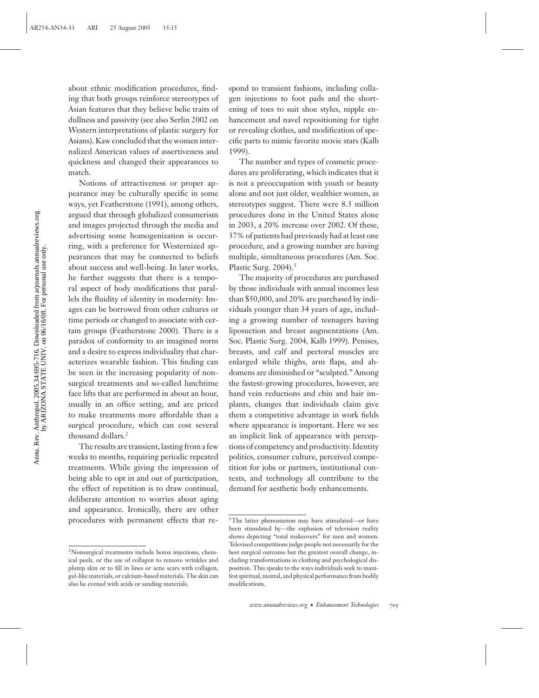about ethnic modification procedures, finding that both groups reinforce stereotypes of Asian features that they believe belie traits of dullness and passivity (see also Serlin 2002 on Western interpretations of plastic surgery for Asians). Kaw concluded that the women internalized American values of assertiveness and quickness and changed their appearances to match.

Notions of attractiveness or proper appearance may be culturally specific in some ways, yet Featherstone (1991), among others, argued that through globalized consumerism and images projected through the media and advertising some homogenization is occurring, with a preference for Westernized appearances that may be connected to beliefs about success and well-being. In later works, he further suggests that there is a temporal aspect of body modifications that parallels the fluidity of identity in modernity: Images can be borrowed from other cultures or time periods or changed to associate with certain groups (Featherstone 2000). There is a paradox of conformity to an imagined norm and a desire to express individuality that characterizes wearable fashion. This finding can be seen in the increasing popularity of nonsurgical treatments and so-called lunchtime face lifts that are performed in about an hour, usually in an office setting, and are priced to make treatments more affordable than a surgical procedure, which can cost several thousand dollars.<sup>2</sup>

The results are transient, lasting from a few weeks to months, requiring periodic repeated treatments. While giving the impression of being able to opt in and out of participation, the effect of repetition is to draw continual, deliberate attention to worries about aging and appearance. Ironically, there are other procedures with permanent effects that respond to transient fashions, including collagen injections to foot pads and the shortening of toes to suit shoe styles, nipple enhancement and navel repositioning for tight or revealing clothes, and modification of specific parts to mimic favorite movie stars (Kalb 1999).

The number and types of cosmetic procedures are proliferating, which indicates that it is not a preoccupation with youth or beauty alone and not just older, wealthier women, as stereotypes suggest. There were 8.3 million procedures done in the United States alone in 2003, a 20% increase over 2002. Of these, 37% of patients had previously had at least one procedure, and a growing number are having multiple, simultaneous procedures (Am. Soc. Plastic Surg. 2004).<sup>3</sup>

The majority of procedures are purchased by those individuals with annual incomes less than \$50,000, and 20% are purchased by individuals younger than 34 years of age, including a growing number of teenagers having liposuction and breast augmentations (Am. Soc. Plastic Surg. 2004, Kalb 1999). Penises, breasts, and calf and pectoral muscles are enlarged while thighs, arm flaps, and abdomens are diminished or "sculpted." Among the fastest-growing procedures, however, are hand vein reductions and chin and hair implants, changes that individuals claim give them a competitive advantage in work fields where appearance is important. Here we see an implicit link of appearance with perceptions of competency and productivity. Identity politics, consumer culture, perceived competition for jobs or partners, institutional contexts, and technology all contribute to the demand for aesthetic body enhancements.

<sup>2</sup>Nonsurgical treatments include botox injections, chemical peels, or the use of collagen to remove wrinkles and plump skin or to fill in lines or acne scars with collagen, gel-like materials, or calcium-based materials. The skin can also be evened with acids or sanding materials.

<sup>&</sup>lt;sup>3</sup>The latter phenomenon may have stimulated—or have been stimulated by—the explosion of television reality shows depicting "total makeovers" for men and women. Televised competitions judge people not necessarily for the best surgical outcome but the greatest overall change, including transformations in clothing and psychological disposition. This speaks to the ways individuals seek to manifest spiritual, mental, and physical performance from bodily modifications.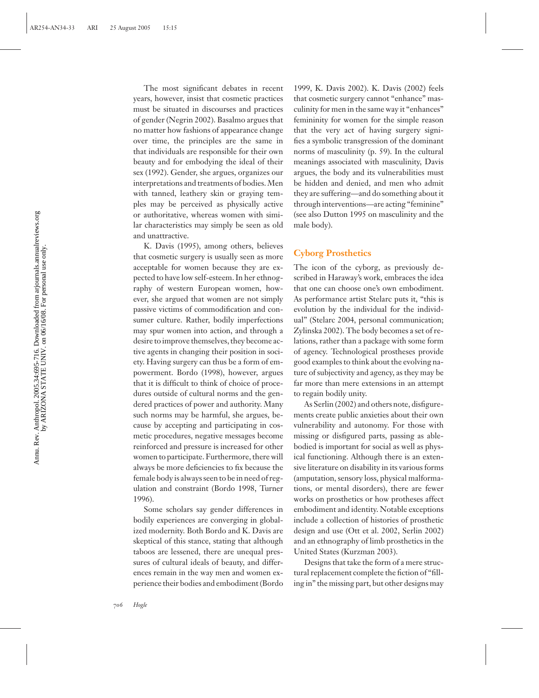The most significant debates in recent years, however, insist that cosmetic practices must be situated in discourses and practices of gender (Negrin 2002). Basalmo argues that no matter how fashions of appearance change over time, the principles are the same in that individuals are responsible for their own beauty and for embodying the ideal of their sex (1992). Gender, she argues, organizes our interpretations and treatments of bodies. Men with tanned, leathery skin or graying temples may be perceived as physically active or authoritative, whereas women with similar characteristics may simply be seen as old and unattractive.

K. Davis (1995), among others, believes that cosmetic surgery is usually seen as more acceptable for women because they are expected to have low self-esteem. In her ethnography of western European women, however, she argued that women are not simply passive victims of commodification and consumer culture. Rather, bodily imperfections may spur women into action, and through a desire to improve themselves, they become active agents in changing their position in society. Having surgery can thus be a form of empowerment. Bordo (1998), however, argues that it is difficult to think of choice of procedures outside of cultural norms and the gendered practices of power and authority. Many such norms may be harmful, she argues, because by accepting and participating in cosmetic procedures, negative messages become reinforced and pressure is increased for other women to participate. Furthermore, there will always be more deficiencies to fix because the female body is always seen to be in need of regulation and constraint (Bordo 1998, Turner 1996).

Some scholars say gender differences in bodily experiences are converging in globalized modernity. Both Bordo and K. Davis are skeptical of this stance, stating that although taboos are lessened, there are unequal pressures of cultural ideals of beauty, and differences remain in the way men and women experience their bodies and embodiment (Bordo

1999, K. Davis 2002). K. Davis (2002) feels that cosmetic surgery cannot "enhance" masculinity for men in the same way it "enhances" femininity for women for the simple reason that the very act of having surgery signifies a symbolic transgression of the dominant norms of masculinity (p. 59). In the cultural meanings associated with masculinity, Davis argues, the body and its vulnerabilities must be hidden and denied, and men who admit they are suffering—and do something about it through interventions—are acting "feminine" (see also Dutton 1995 on masculinity and the male body).

## **Cyborg Prosthetics**

The icon of the cyborg, as previously described in Haraway's work, embraces the idea that one can choose one's own embodiment. As performance artist Stelarc puts it, "this is evolution by the individual for the individual" (Stelarc 2004, personal communication; Zylinska 2002). The body becomes a set of relations, rather than a package with some form of agency. Technological prostheses provide good examples to think about the evolving nature of subjectivity and agency, as they may be far more than mere extensions in an attempt to regain bodily unity.

As Serlin (2002) and others note, disfigurements create public anxieties about their own vulnerability and autonomy. For those with missing or disfigured parts, passing as ablebodied is important for social as well as physical functioning. Although there is an extensive literature on disability in its various forms (amputation, sensory loss, physical malformations, or mental disorders), there are fewer works on prosthetics or how protheses affect embodiment and identity. Notable exceptions include a collection of histories of prosthetic design and use (Ott et al. 2002, Serlin 2002) and an ethnography of limb prosthetics in the United States (Kurzman 2003).

Designs that take the form of a mere structural replacement complete the fiction of "filling in" the missing part, but other designs may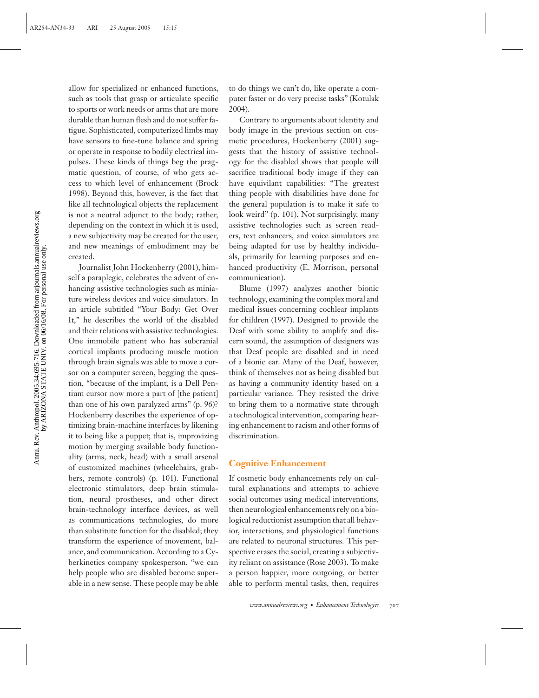allow for specialized or enhanced functions, such as tools that grasp or articulate specific to sports or work needs or arms that are more durable than human flesh and do not suffer fatigue. Sophisticated, computerized limbs may have sensors to fine-tune balance and spring or operate in response to bodily electrical impulses. These kinds of things beg the pragmatic question, of course, of who gets access to which level of enhancement (Brock 1998). Beyond this, however, is the fact that like all technological objects the replacement is not a neutral adjunct to the body; rather, depending on the context in which it is used, a new subjectivity may be created for the user, and new meanings of embodiment may be created.

Journalist John Hockenberry (2001), himself a paraplegic, celebrates the advent of enhancing assistive technologies such as miniature wireless devices and voice simulators. In an article subtitled "Your Body: Get Over It," he describes the world of the disabled and their relations with assistive technologies. One immobile patient who has subcranial cortical implants producing muscle motion through brain signals was able to move a cursor on a computer screen, begging the question, "because of the implant, is a Dell Pentium cursor now more a part of [the patient] than one of his own paralyzed arms" (p. 96)? Hockenberry describes the experience of optimizing brain-machine interfaces by likening it to being like a puppet; that is, improvizing motion by merging available body functionality (arms, neck, head) with a small arsenal of customized machines (wheelchairs, grabbers, remote controls) (p. 101). Functional electronic stimulators, deep brain stimulation, neural prostheses, and other direct brain-technology interface devices, as well as communications technologies, do more than substitute function for the disabled; they transform the experience of movement, balance, and communication. According to a Cyberkinetics company spokesperson, "we can help people who are disabled become superable in a new sense. These people may be able to do things we can't do, like operate a computer faster or do very precise tasks" (Kotulak 2004).

Contrary to arguments about identity and body image in the previous section on cosmetic procedures, Hockenberry (2001) suggests that the history of assistive technology for the disabled shows that people will sacrifice traditional body image if they can have equivilant capabilities: "The greatest thing people with disabilities have done for the general population is to make it safe to look weird" (p. 101). Not surprisingly, many assistive technologies such as screen readers, text enhancers, and voice simulators are being adapted for use by healthy individuals, primarily for learning purposes and enhanced productivity (E. Morrison, personal communication).

Blume (1997) analyzes another bionic technology, examining the complex moral and medical issues concerning cochlear implants for children (1997). Designed to provide the Deaf with some ability to amplify and discern sound, the assumption of designers was that Deaf people are disabled and in need of a bionic ear. Many of the Deaf, however, think of themselves not as being disabled but as having a community identity based on a particular variance. They resisted the drive to bring them to a normative state through a technological intervention, comparing hearing enhancement to racism and other forms of discrimination.

#### **Cognitive Enhancement**

If cosmetic body enhancements rely on cultural explanations and attempts to achieve social outcomes using medical interventions, then neurological enhancements rely on a biological reductionist assumption that all behavior, interactions, and physiological functions are related to neuronal structures. This perspective erases the social, creating a subjectivity reliant on assistance (Rose 2003). To make a person happier, more outgoing, or better able to perform mental tasks, then, requires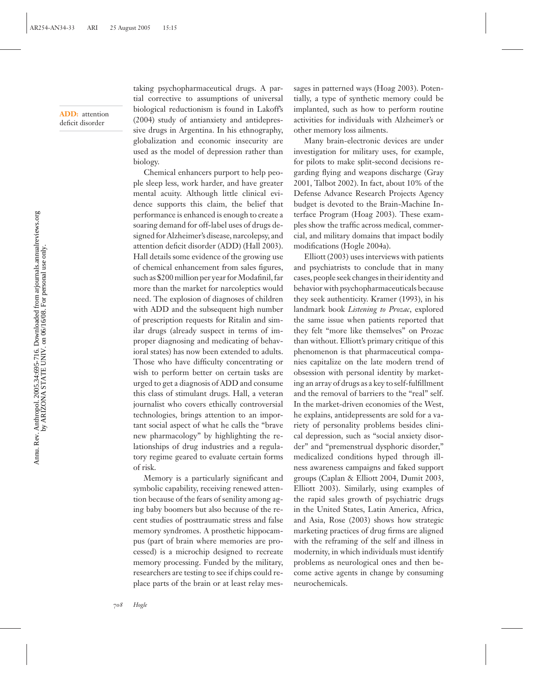**ADD:** attention deficit disorder

taking psychopharmaceutical drugs. A partial corrective to assumptions of universal biological reductionism is found in Lakoff's (2004) study of antianxiety and antidepressive drugs in Argentina. In his ethnography, globalization and economic insecurity are used as the model of depression rather than biology.

Chemical enhancers purport to help people sleep less, work harder, and have greater mental acuity. Although little clinical evidence supports this claim, the belief that performance is enhanced is enough to create a soaring demand for off-label uses of drugs designed for Alzheimer's disease, narcolepsy, and attention deficit disorder (ADD) (Hall 2003). Hall details some evidence of the growing use of chemical enhancement from sales figures, such as \$200 million per year for Modafinil, far more than the market for narcoleptics would need. The explosion of diagnoses of children with ADD and the subsequent high number of prescription requests for Ritalin and similar drugs (already suspect in terms of improper diagnosing and medicating of behavioral states) has now been extended to adults. Those who have difficulty concentrating or wish to perform better on certain tasks are urged to get a diagnosis of ADD and consume this class of stimulant drugs. Hall, a veteran journalist who covers ethically controversial technologies, brings attention to an important social aspect of what he calls the "brave new pharmacology" by highlighting the relationships of drug industries and a regulatory regime geared to evaluate certain forms of risk.

Memory is a particularly significant and symbolic capability, receiving renewed attention because of the fears of senility among aging baby boomers but also because of the recent studies of posttraumatic stress and false memory syndromes. A prosthetic hippocampus (part of brain where memories are processed) is a microchip designed to recreate memory processing. Funded by the military, researchers are testing to see if chips could replace parts of the brain or at least relay messages in patterned ways (Hoag 2003). Potentially, a type of synthetic memory could be implanted, such as how to perform routine activities for individuals with Alzheimer's or other memory loss ailments.

Many brain-electronic devices are under investigation for military uses, for example, for pilots to make split-second decisions regarding flying and weapons discharge (Gray 2001, Talbot 2002). In fact, about 10% of the Defense Advance Research Projects Agency budget is devoted to the Brain-Machine Interface Program (Hoag 2003). These examples show the traffic across medical, commercial, and military domains that impact bodily modifications (Hogle 2004a).

Elliott (2003) uses interviews with patients and psychiatrists to conclude that in many cases, people seek changes in their identity and behavior with psychopharmaceuticals because they seek authenticity. Kramer (1993), in his landmark book *Listening to Prozac*, explored the same issue when patients reported that they felt "more like themselves" on Prozac than without. Elliott's primary critique of this phenomenon is that pharmaceutical companies capitalize on the late modern trend of obsession with personal identity by marketing an array of drugs as a key to self-fulfillment and the removal of barriers to the "real" self. In the market-driven economies of the West, he explains, antidepressents are sold for a variety of personality problems besides clinical depression, such as "social anxiety disorder" and "premenstrual dysphoric disorder," medicalized conditions hyped through illness awareness campaigns and faked support groups (Caplan & Elliott 2004, Dumit 2003, Elliott 2003). Similarly, using examples of the rapid sales growth of psychiatric drugs in the United States, Latin America, Africa, and Asia, Rose (2003) shows how strategic marketing practices of drug firms are aligned with the reframing of the self and illness in modernity, in which individuals must identify problems as neurological ones and then become active agents in change by consuming neurochemicals.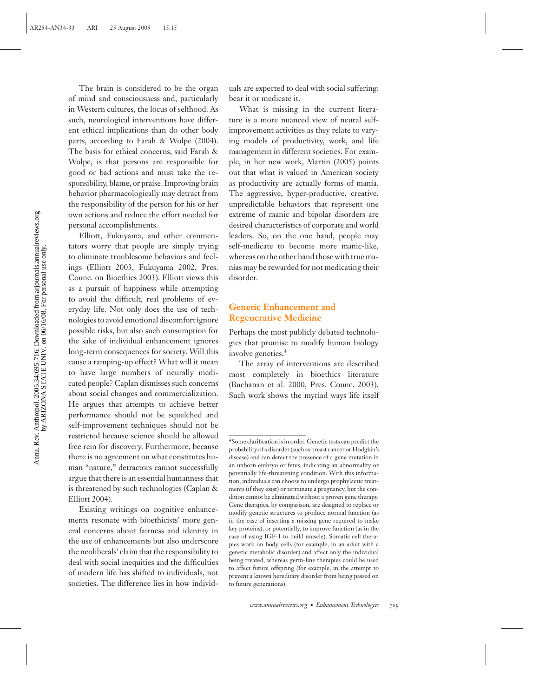The brain is considered to be the organ of mind and consciousness and, particularly in Western cultures, the locus of selfhood. As such, neurological interventions have different ethical implications than do other body parts, according to Farah & Wolpe (2004). The basis for ethical concerns, said Farah & Wolpe, is that persons are responsible for good or bad actions and must take the responsibility, blame, or praise. Improving brain behavior pharmacologically may detract from the responsibility of the person for his or her own actions and reduce the effort needed for personal accomplishments.

Elliott, Fukuyama, and other commentators worry that people are simply trying to eliminate troublesome behaviors and feelings (Elliott 2003, Fukuyama 2002, Pres. Counc. on Bioethics 2003). Elliott views this as a pursuit of happiness while attempting to avoid the difficult, real problems of everyday life. Not only does the use of technologies to avoid emotional discomfort ignore possible risks, but also such consumption for the sake of individual enhancement ignores long-term consequences for society. Will this cause a ramping-up effect? What will it mean to have large numbers of neurally medicated people? Caplan dismisses such concerns about social changes and commercialization. He argues that attempts to achieve better performance should not be squelched and self-improvement techniques should not be restricted because science should be allowed free rein for discovery. Furthermore, because there is no agreement on what constitutes human "nature," detractors cannot successfully argue that there is an essential humanness that is threatened by such technologies (Caplan & Elliott 2004).

Existing writings on cognitive enhancements resonate with bioethicists' more general concerns about fairness and identity in the use of enhancements but also underscore the neoliberals' claim that the responsibility to deal with social inequities and the difficulties of modern life has shifted to individuals, not societies. The difference lies in how individuals are expected to deal with social suffering: bear it or medicate it.

What is missing in the current literature is a more nuanced view of neural selfimprovement activities as they relate to varying models of productivity, work, and life management in different societies. For example, in her new work, Martin (2005) points out that what is valued in American society as productivity are actually forms of mania. The aggressive, hyper-productive, creative, unpredictable behaviors that represent one extreme of manic and bipolar disorders are desired characteristics of corporate and world leaders. So, on the one hand, people may self-medicate to become more manic-like, whereas on the other hand those with true manias may be rewarded for not medicating their disorder.

## **Genetic Enhancement and Regenerative Medicine**

Perhaps the most publicly debated technologies that promise to modify human biology involve genetics.<sup>4</sup>

The array of interventions are described most completely in bioethics literature (Buchanan et al. 2000, Pres. Counc. 2003). Such work shows the myriad ways life itself

<sup>4</sup>Some clarification is in order. Genetic tests can predict the probability of a disorder (such as breast cancer or Hodgkin's disease) and can detect the presence of a gene mutation in an unborn embryo or fetus, indicating an abnormality or potentially life-threatening condition. With this information, individuals can choose to undergo prophylactic treatments (if they exist) or terminate a pregnancy, but the condition cannot be eliminated without a proven gene therapy. Gene therapies, by comparison, are designed to replace or modify genetic structures to produce normal function (as in the case of inserting a missing gene required to make key proteins), or potentially, to improve function (as in the case of using IGF-1 to build muscle). Somatic cell therapies work on body cells (for example, in an adult with a genetic metabolic disorder) and affect only the individual being treated, whereas germ-line therapies could be used to affect future offspring (for example, in the attempt to prevent a known hereditary disorder from being passed on to future generations).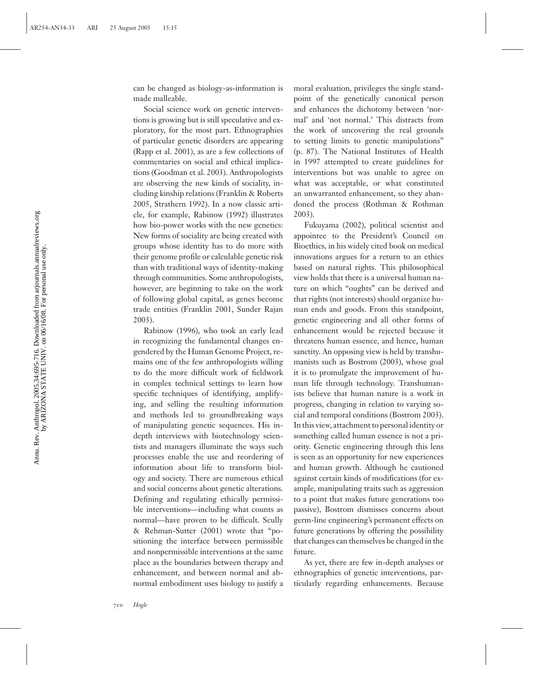can be changed as biology-as-information is made malleable.

Social science work on genetic interventions is growing but is still speculative and exploratory, for the most part. Ethnographies of particular genetic disorders are appearing (Rapp et al. 2001), as are a few collections of commentaries on social and ethical implications (Goodman et al. 2003). Anthropologists are observing the new kinds of sociality, including kinship relations (Franklin & Roberts 2005, Strathern 1992). In a now classic article, for example, Rabinow (1992) illustrates how bio-power works with the new genetics: New forms of sociality are being created with groups whose identity has to do more with their genome profile or calculable genetic risk than with traditional ways of identity-making through communities. Some anthropologists, however, are beginning to take on the work of following global capital, as genes become trade entities (Franklin 2001, Sunder Rajan 2003).

Rabinow (1996), who took an early lead in recognizing the fundamental changes engendered by the Human Genome Project, remains one of the few anthropologists willing to do the more difficult work of fieldwork in complex technical settings to learn how specific techniques of identifying, amplifying, and selling the resulting information and methods led to groundbreaking ways of manipulating genetic sequences. His indepth interviews with biotechnology scientists and managers illuminate the ways such processes enable the use and reordering of information about life to transform biology and society. There are numerous ethical and social concerns about genetic alterations. Defining and regulating ethically permissible interventions—including what counts as normal—have proven to be difficult. Scully & Rehman-Sutter (2001) wrote that "positioning the interface between permissible and nonpermissible interventions at the same place as the boundaries between therapy and enhancement, and between normal and abnormal embodiment uses biology to justify a

moral evaluation, privileges the single standpoint of the genetically canonical person and enhances the dichotomy between 'normal' and 'not normal.' This distracts from the work of uncovering the real grounds to setting limits to genetic manipulations" (p. 87). The National Institutes of Health in 1997 attempted to create guidelines for interventions but was unable to agree on what was acceptable, or what constituted an unwarranted enhancement, so they abandoned the process (Rothman & Rothman 2003).

Fukuyama (2002), political scientist and appointee to the President's Council on Bioethics, in his widely cited book on medical innovations argues for a return to an ethics based on natural rights. This philosophical view holds that there is a universal human nature on which "oughts" can be derived and that rights (not interests) should organize human ends and goods. From this standpoint, genetic engineering and all other forms of enhancement would be rejected because it threatens human essence, and hence, human sanctity. An opposing view is held by transhumanists such as Bostrom (2003), whose goal it is to promulgate the improvement of human life through technology. Transhumanists believe that human nature is a work in progress, changing in relation to varying social and temporal conditions (Bostrom 2003). In this view, attachment to personal identity or something called human essence is not a priority. Genetic engineering through this lens is seen as an opportunity for new experiences and human growth. Although he cautioned against certain kinds of modifications (for example, manipulating traits such as aggression to a point that makes future generations too passive), Bostrom dismisses concerns about germ-line engineering's permanent effects on future generations by offering the possibility that changes can themselves be changed in the future.

As yet, there are few in-depth analyses or ethnographies of genetic interventions, particularly regarding enhancements. Because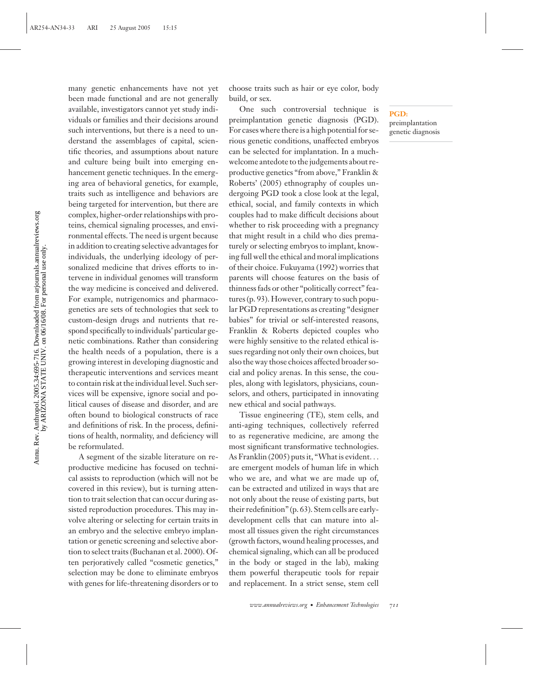many genetic enhancements have not yet been made functional and are not generally available, investigators cannot yet study individuals or families and their decisions around such interventions, but there is a need to understand the assemblages of capital, scientific theories, and assumptions about nature and culture being built into emerging enhancement genetic techniques. In the emerging area of behavioral genetics, for example, traits such as intelligence and behaviors are being targeted for intervention, but there are complex, higher-order relationships with proteins, chemical signaling processes, and environmental effects. The need is urgent because in addition to creating selective advantages for individuals, the underlying ideology of personalized medicine that drives efforts to intervene in individual genomes will transform the way medicine is conceived and delivered. For example, nutrigenomics and pharmacogenetics are sets of technologies that seek to custom-design drugs and nutrients that respond specifically to individuals' particular genetic combinations. Rather than considering the health needs of a population, there is a growing interest in developing diagnostic and therapeutic interventions and services meant to contain risk at the individual level. Such services will be expensive, ignore social and political causes of disease and disorder, and are often bound to biological constructs of race and definitions of risk. In the process, definitions of health, normality, and deficiency will be reformulated.

A segment of the sizable literature on reproductive medicine has focused on technical assists to reproduction (which will not be covered in this review), but is turning attention to trait selection that can occur during assisted reproduction procedures. This may involve altering or selecting for certain traits in an embryo and the selective embryo implantation or genetic screening and selective abortion to select traits (Buchanan et al. 2000). Often perjoratively called "cosmetic genetics," selection may be done to eliminate embryos with genes for life-threatening disorders or to choose traits such as hair or eye color, body build, or sex.

One such controversial technique is preimplantation genetic diagnosis (PGD). For cases where there is a high potential for serious genetic conditions, unaffected embryos can be selected for implantation. In a muchwelcome antedote to the judgements about reproductive genetics "from above," Franklin & Roberts' (2005) ethnography of couples undergoing PGD took a close look at the legal, ethical, social, and family contexts in which couples had to make difficult decisions about whether to risk proceeding with a pregnancy that might result in a child who dies prematurely or selecting embryos to implant, knowing full well the ethical and moral implications of their choice. Fukuyama (1992) worries that parents will choose features on the basis of thinness fads or other "politically correct" features (p. 93). However, contrary to such popular PGD representations as creating "designer babies" for trivial or self-interested reasons, Franklin & Roberts depicted couples who were highly sensitive to the related ethical issues regarding not only their own choices, but also the way those choices affected broader social and policy arenas. In this sense, the couples, along with legislators, physicians, counselors, and others, participated in innovating new ethical and social pathways.

Tissue engineering (TE), stem cells, and anti-aging techniques, collectively referred to as regenerative medicine, are among the most significant transformative technologies. As Franklin (2005) puts it, "What is evident... are emergent models of human life in which who we are, and what we are made up of, can be extracted and utilized in ways that are not only about the reuse of existing parts, but their redefinition" (p. 63). Stem cells are earlydevelopment cells that can mature into almost all tissues given the right circumstances (growth factors, wound healing processes, and chemical signaling, which can all be produced in the body or staged in the lab), making them powerful therapeutic tools for repair and replacement. In a strict sense, stem cell **PGD:** preimplantation genetic diagnosis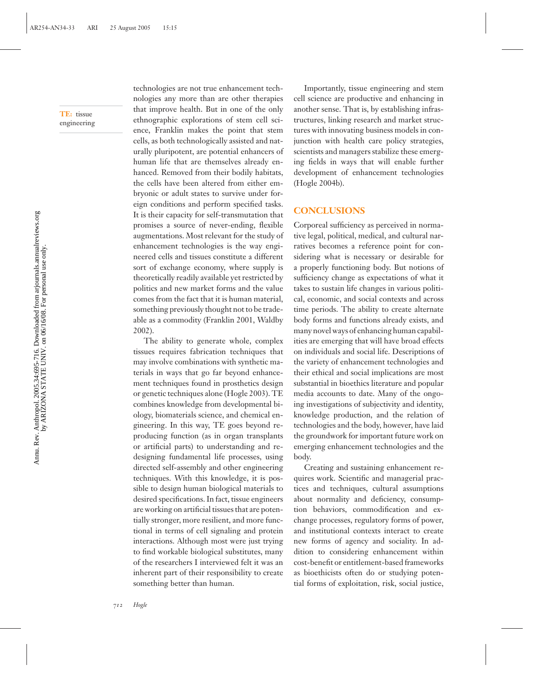**TE:** tissue engineering

technologies are not true enhancement technologies any more than are other therapies that improve health. But in one of the only ethnographic explorations of stem cell science, Franklin makes the point that stem cells, as both technologically assisted and naturally pluripotent, are potential enhancers of human life that are themselves already enhanced. Removed from their bodily habitats, the cells have been altered from either embryonic or adult states to survive under foreign conditions and perform specified tasks. It is their capacity for self-transmutation that promises a source of never-ending, flexible augmentations. Most relevant for the study of enhancement technologies is the way engineered cells and tissues constitute a different sort of exchange economy, where supply is theoretically readily available yet restricted by politics and new market forms and the value comes from the fact that it is human material, something previously thought not to be tradeable as a commodity (Franklin 2001, Waldby 2002).

The ability to generate whole, complex tissues requires fabrication techniques that may involve combinations with synthetic materials in ways that go far beyond enhancement techniques found in prosthetics design or genetic techniques alone (Hogle 2003). TE combines knowledge from developmental biology, biomaterials science, and chemical engineering. In this way, TE goes beyond reproducing function (as in organ transplants or artificial parts) to understanding and redesigning fundamental life processes, using directed self-assembly and other engineering techniques. With this knowledge, it is possible to design human biological materials to desired specifications. In fact, tissue engineers are working on artificial tissues that are potentially stronger, more resilient, and more functional in terms of cell signaling and protein interactions. Although most were just trying to find workable biological substitutes, many of the researchers I interviewed felt it was an inherent part of their responsibility to create something better than human.

Importantly, tissue engineering and stem cell science are productive and enhancing in another sense. That is, by establishing infrastructures, linking research and market structures with innovating business models in conjunction with health care policy strategies, scientists and managers stabilize these emerging fields in ways that will enable further development of enhancement technologies (Hogle 2004b).

### **CONCLUSIONS**

Corporeal sufficiency as perceived in normative legal, political, medical, and cultural narratives becomes a reference point for considering what is necessary or desirable for a properly functioning body. But notions of sufficiency change as expectations of what it takes to sustain life changes in various political, economic, and social contexts and across time periods. The ability to create alternate body forms and functions already exists, and many novel ways of enhancing human capabilities are emerging that will have broad effects on individuals and social life. Descriptions of the variety of enhancement technologies and their ethical and social implications are most substantial in bioethics literature and popular media accounts to date. Many of the ongoing investigations of subjectivity and identity, knowledge production, and the relation of technologies and the body, however, have laid the groundwork for important future work on emerging enhancement technologies and the body.

Creating and sustaining enhancement requires work. Scientific and managerial practices and techniques, cultural assumptions about normality and deficiency, consumption behaviors, commodification and exchange processes, regulatory forms of power, and institutional contexts interact to create new forms of agency and sociality. In addition to considering enhancement within cost-benefit or entitlement-based frameworks as bioethicists often do or studying potential forms of exploitation, risk, social justice,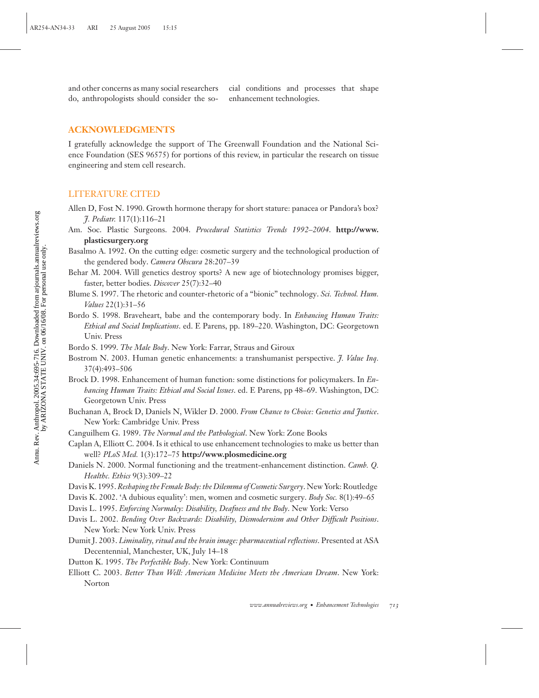and other concerns as many social researchers do, anthropologists should consider the social conditions and processes that shape enhancement technologies.

#### **ACKNOWLEDGMENTS**

I gratefully acknowledge the support of The Greenwall Foundation and the National Science Foundation (SES 96575) for portions of this review, in particular the research on tissue engineering and stem cell research.

### LITERATURE CITED

- Allen D, Fost N. 1990. Growth hormone therapy for short stature: panacea or Pandora's box? *J. Pediatr.* 117(1):116–21
- Am. Soc. Plastic Surgeons. 2004. *Procedural Statistics Trends 1992–2004*. **http://www. plasticsurgery.org**
- Basalmo A. 1992. On the cutting edge: cosmetic surgery and the technological production of the gendered body. *Camera Obscura* 28:207–39
- Behar M. 2004. Will genetics destroy sports? A new age of biotechnology promises bigger, faster, better bodies. *Discover* 25(7):32–40
- Blume S. 1997. The rhetoric and counter-rhetoric of a "bionic" technology. *Sci. Technol. Hum. Values* 22(1):31–56
- Bordo S. 1998. Braveheart, babe and the contemporary body. In *Enhancing Human Traits: Ethical and Social Implications*. ed. E Parens, pp. 189–220. Washington, DC: Georgetown Univ. Press
- Bordo S. 1999. *The Male Body*. New York: Farrar, Straus and Giroux
- Bostrom N. 2003. Human genetic enhancements: a transhumanist perspective. *J. Value Inq.* 37(4):493–506
- Brock D. 1998. Enhancement of human function: some distinctions for policymakers. In *Enhancing Human Traits: Ethical and Social Issues*. ed. E Parens, pp 48–69. Washington, DC: Georgetown Univ. Press
- Buchanan A, Brock D, Daniels N, Wikler D. 2000. *From Chance to Choice: Genetics and Justice*. New York: Cambridge Univ. Press
- Canguilhem G. 1989. *The Normal and the Pathological*. New York: Zone Books
- Caplan A, Elliott C. 2004. Is it ethical to use enhancement technologies to make us better than well? *PLoS Med.* 1(3):172–75 **http://www.plosmedicine.org**
- Daniels N. 2000. Normal functioning and the treatment-enhancement distinction. *Camb. Q. Healthc. Ethics* 9(3):309–22
- Davis K. 1995. *Reshaping the Female Body: the Dilemma of Cosmetic Surgery*. New York: Routledge
- Davis K. 2002. 'A dubious equality': men, women and cosmetic surgery. *Body Soc.* 8(1):49–65
- Davis L. 1995. *Enforcing Normalcy: Disability, Deafness and the Body*. New York: Verso
- Davis L. 2002. *Bending Over Backwards: Disability, Dismodernism and Other Difficult Positions*. New York: New York Univ. Press
- Dumit J. 2003. *Liminality, ritual and the brain image: pharmaceutical reflections*. Presented at ASA Decentennial, Manchester, UK, July 14–18
- Dutton K. 1995. *The Perfectible Body*. New York: Continuum
- Elliott C. 2003. *Better Than Well: American Medicine Meets the American Dream*. New York: Norton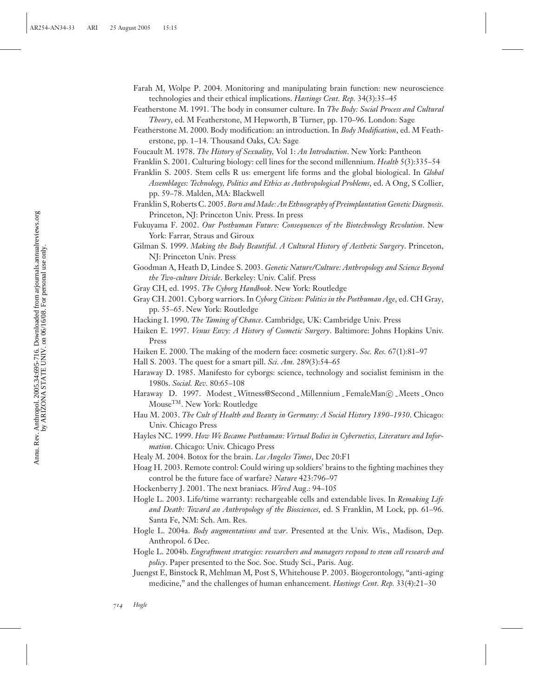- Farah M, Wolpe P. 2004. Monitoring and manipulating brain function: new neuroscience technologies and their ethical implications. *Hastings Cent. Rep.* 34(3):35–45
- Featherstone M. 1991. The body in consumer culture. In *The Body: Social Process and Cultural Theory*, ed. M Featherstone, M Hepworth, B Turner, pp. 170–96. London: Sage
- Featherstone M. 2000. Body modification: an introduction. In *Body Modification*, ed. M Featherstone, pp. 1–14. Thousand Oaks, CA: Sage
- Foucault M. 1978. *The History of Sexuality,* Vol 1: *An Introduction*. New York: Pantheon
- Franklin S. 2001. Culturing biology: cell lines for the second millennium. *Health* 5(3):335–54
- Franklin S. 2005. Stem cells R us: emergent life forms and the global biological. In *Global Assemblages: Technology, Politics and Ethics as Anthropological Problems*, ed. A Ong, S Collier, pp. 59–78. Malden, MA: Blackwell
- Franklin S, Roberts C. 2005. *Born and Made: An Ethnography of Preimplantation Genetic Diagnosis*. Princeton, NJ: Princeton Univ. Press. In press
- Fukuyama F. 2002. *Our Posthuman Future: Consequences of the Biotechnology Revolution*. New York: Farrar, Straus and Giroux
- Gilman S. 1999. *Making the Body Beautiful. A Cultural History of Aesthetic Surgery*. Princeton, NJ: Princeton Univ. Press
- Goodman A, Heath D, Lindee S. 2003. *Genetic Nature/Culture: Anthropology and Science Beyond the Two-culture Divide*. Berkeley: Univ. Calif. Press
- Gray CH, ed. 1995. *The Cyborg Handbook*. New York: Routledge
- Gray CH. 2001. Cyborg warriors. In *Cyborg Citizen: Politics in the Posthuman Age*, ed. CH Gray, pp. 55–65. New York: Routledge
- Hacking I. 1990. *The Taming of Chance*. Cambridge, UK: Cambridge Univ. Press
- Haiken E. 1997. *Venus Envy: A History of Cosmetic Surgery*. Baltimore: Johns Hopkins Univ. Press
- Haiken E. 2000. The making of the modern face: cosmetic surgery. *Soc. Res.* 67(1):81–97
- Hall S. 2003. The quest for a smart pill. *Sci. Am.* 289(3):54–65
- Haraway D. 1985. Manifesto for cyborgs: science, technology and socialist feminism in the 1980s. *Social. Rev.* 80:65–108
- Haraway D. 1997. Modest Witness@Second Millennium FemaleMan© Meets Onco MouseTM. New York: Routledge
- Hau M. 2003. *The Cult of Health and Beauty in Germany: A Social History 1890–1930*. Chicago: Univ. Chicago Press
- Hayles NC. 1999. *How We Became Posthuman: Virtual Bodies in Cybernetics, Literature and Information*. Chicago: Univ. Chicago Press
- Healy M. 2004. Botox for the brain. *Los Angeles Times*, Dec 20:F1
- Hoag H. 2003. Remote control: Could wiring up soldiers' brains to the fighting machines they control be the future face of warfare? *Nature* 423:796–97
- Hockenberry J. 2001. The next braniacs. *Wired* Aug.: 94–105
- Hogle L. 2003. Life/time warranty: rechargeable cells and extendable lives. In *Remaking Life and Death: Toward an Anthropology of the Biosciences*, ed. S Franklin, M Lock, pp. 61–96. Santa Fe, NM: Sch. Am. Res.
- Hogle L. 2004a. *Body augmentations and war*. Presented at the Univ. Wis., Madison, Dep. Anthropol. 6 Dec.
- Hogle L. 2004b. *Engraftment strategies: researchers and managers respond to stem cell research and policy*. Paper presented to the Soc. Soc. Study Sci., Paris. Aug.
- Juengst E, Binstock R, Mehlman M, Post S, Whitehouse P. 2003. Biogerontology, "anti-aging medicine," and the challenges of human enhancement. *Hastings Cent. Rep.* 33(4):21–30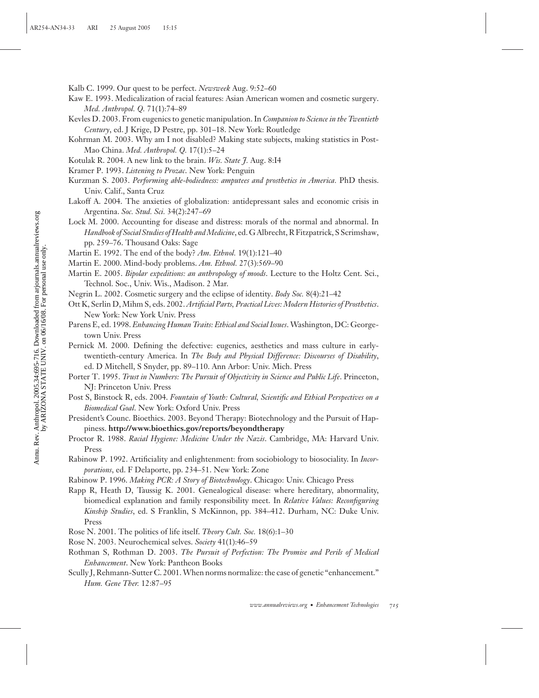- Kalb C. 1999. Our quest to be perfect. *Newsweek* Aug. 9:52–60
- Kaw E. 1993. Medicalization of racial features: Asian American women and cosmetic surgery. *Med. Anthropol. Q.* 71(1):74–89
- Kevles D. 2003. From eugenics to genetic manipulation. In *Companion to Science in the Twentieth Century*, ed. J Krige, D Pestre, pp. 301–18. New York: Routledge
- Kohrman M. 2003. Why am I not disabled? Making state subjects, making statistics in Post-Mao China. *Med. Anthropol. Q.* 17(1):5–24
- Kotulak R. 2004. A new link to the brain. *Wis. State J.* Aug. 8:I4
- Kramer P. 1993. *Listening to Prozac*. New York: Penguin
- Kurzman S. 2003. *Performing able-bodiedness: amputees and prosthetics in America.* PhD thesis. Univ. Calif., Santa Cruz
- Lakoff A. 2004. The anxieties of globalization: antidepressant sales and economic crisis in Argentina. *Soc. Stud. Sci.* 34(2):247–69
- Lock M. 2000. Accounting for disease and distress: morals of the normal and abnormal. In *Handbook of Social Studies of Health and Medicine*, ed. G Albrecht, R Fitzpatrick, S Scrimshaw, pp. 259–76. Thousand Oaks: Sage
- Martin E. 1992. The end of the body? *Am. Ethnol.* 19(1):121–40
- Martin E. 2000. Mind-body problems. *Am. Ethnol.* 27(3):569–90
- Martin E. 2005. *Bipolar expeditions: an anthropology of moods*. Lecture to the Holtz Cent. Sci., Technol. Soc., Univ. Wis., Madison. 2 Mar.
- Negrin L. 2002. Cosmetic surgery and the eclipse of identity. *Body Soc.* 8(4):21–42
- Ott K, Serlin D, Mihm S, eds. 2002. *Artificial Parts, Practical Lives: Modern Histories of Prosthetics*. New York: New York Univ. Press
- Parens E, ed. 1998. *Enhancing Human Traits: Ethical and Social Issues*. Washington, DC: Georgetown Univ. Press
- Pernick M. 2000. Defining the defective: eugenics, aesthetics and mass culture in earlytwentieth-century America. In *The Body and Physical Difference: Discourses of Disability*, ed. D Mitchell, S Snyder, pp. 89–110. Ann Arbor: Univ. Mich. Press
- Porter T. 1995. *Trust in Numbers: The Pursuit of Objectivity in Science and Public Life*. Princeton, NJ: Princeton Univ. Press
- Post S, Binstock R, eds. 2004. *Fountain of Youth: Cultural, Scientific and Ethical Perspectives on a Biomedical Goal*. New York: Oxford Univ. Press
- President's Counc. Bioethics. 2003. Beyond Therapy: Biotechnology and the Pursuit of Happiness. **http://www.bioethics.gov/reports/beyondtherapy**
- Proctor R. 1988. *Racial Hygiene: Medicine Under the Nazis*. Cambridge, MA: Harvard Univ. Press
- Rabinow P. 1992. Artificiality and enlightenment: from sociobiology to biosociality. In *Incorporations*, ed. F Delaporte, pp. 234–51. New York: Zone
- Rabinow P. 1996. *Making PCR: A Story of Biotechnology*. Chicago: Univ. Chicago Press
- Rapp R, Heath D, Taussig K. 2001. Genealogical disease: where hereditary, abnormality, biomedical explanation and family responsibility meet. In *Relative Values: Reconfiguring Kinship Studies*, ed. S Franklin, S McKinnon, pp. 384–412. Durham, NC: Duke Univ. Press
- Rose N. 2001. The politics of life itself. *Theory Cult. Soc.* 18(6):1–30
- Rose N. 2003. Neurochemical selves. *Society* 41(1):46–59
- Rothman S, Rothman D. 2003. *The Pursuit of Perfection: The Promise and Perils of Medical Enhancement*. New York: Pantheon Books
- Scully J, Rehmann-Sutter C. 2001. When norms normalize: the case of genetic "enhancement." *Hum. Gene Ther.* 12:87–95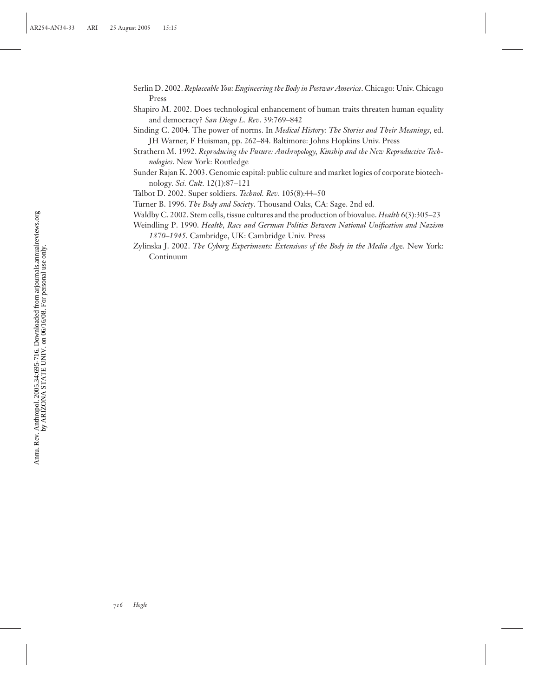- Serlin D. 2002. *Replaceable You: Engineering the Body in Postwar America*. Chicago: Univ. Chicago Press
- Shapiro M. 2002. Does technological enhancement of human traits threaten human equality and democracy? *San Diego L. Rev*. 39:769–842
- Sinding C. 2004. The power of norms. In *Medical History: The Stories and Their Meanings*, ed. JH Warner, F Huisman, pp. 262–84. Baltimore: Johns Hopkins Univ. Press
- Strathern M. 1992. *Reproducing the Future: Anthropology, Kinship and the New Reproductive Technologies*. New York: Routledge
- Sunder Rajan K. 2003. Genomic capital: public culture and market logics of corporate biotechnology. *Sci. Cult.* 12(1):87–121
- Talbot D. 2002. Super soldiers. *Technol. Rev.* 105(8):44–50
- Turner B. 1996. *The Body and Society*. Thousand Oaks, CA: Sage. 2nd ed.
- Waldby C. 2002. Stem cells, tissue cultures and the production of biovalue. *Health* 6(3):305–23
- Weindling P. 1990. *Health, Race and German Politics Between National Unification and Nazism 1870–1945*. Cambridge, UK: Cambridge Univ. Press
- Zylinska J. 2002. *The Cyborg Experiments: Extensions of the Body in the Media Ag*e. New York: Continuum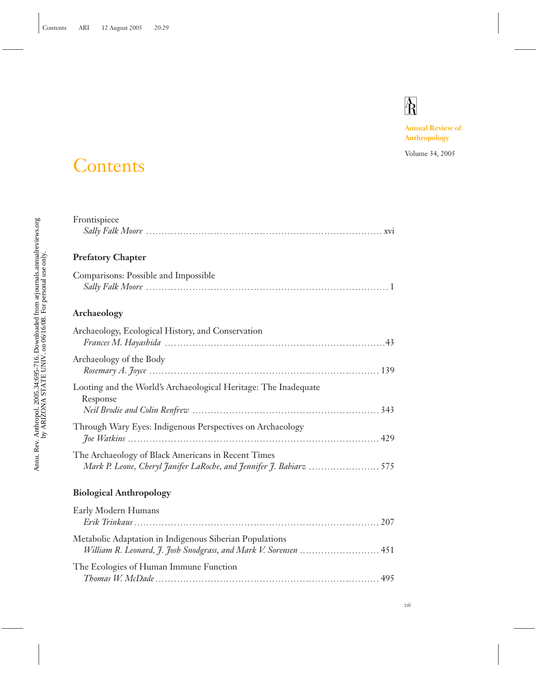

**Annual Review of Anthropology**

Volume 34, 2005

# **Contents**

| Frontispiece                                                                                                              |
|---------------------------------------------------------------------------------------------------------------------------|
| <b>Prefatory Chapter</b>                                                                                                  |
| Comparisons: Possible and Impossible                                                                                      |
| Archaeology                                                                                                               |
| Archaeology, Ecological History, and Conservation                                                                         |
| Archaeology of the Body                                                                                                   |
| Looting and the World's Archaeological Heritage: The Inadequate<br>Response                                               |
| Through Wary Eyes: Indigenous Perspectives on Archaeology                                                                 |
| The Archaeology of Black Americans in Recent Times<br>Mark P. Leone, Cheryl Janifer LaRoche, and Jennifer J. Babiarz  575 |
| <b>Biological Anthropology</b>                                                                                            |
| Early Modern Humans                                                                                                       |
| Metabolic Adaptation in Indigenous Siberian Populations                                                                   |

| The Ecologies of Human Immune Function |  |
|----------------------------------------|--|
|                                        |  |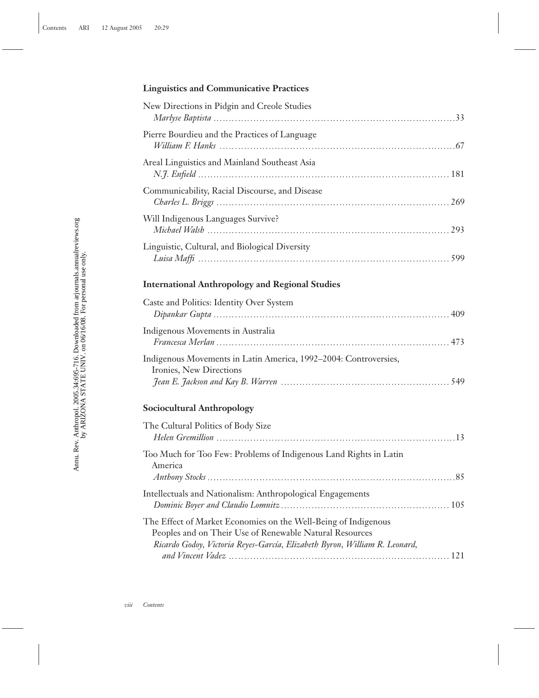# **Linguistics and Communicative Practices**

| New Directions in Pidgin and Creole Studies                                                                                                                                                             |
|---------------------------------------------------------------------------------------------------------------------------------------------------------------------------------------------------------|
| Pierre Bourdieu and the Practices of Language                                                                                                                                                           |
| Areal Linguistics and Mainland Southeast Asia                                                                                                                                                           |
| Communicability, Racial Discourse, and Disease                                                                                                                                                          |
| Will Indigenous Languages Survive?                                                                                                                                                                      |
| Linguistic, Cultural, and Biological Diversity                                                                                                                                                          |
| <b>International Anthropology and Regional Studies</b>                                                                                                                                                  |
| Caste and Politics: Identity Over System                                                                                                                                                                |
| Indigenous Movements in Australia                                                                                                                                                                       |
| Indigenous Movements in Latin America, 1992–2004: Controversies,<br>Ironies, New Directions                                                                                                             |
| <b>Sociocultural Anthropology</b>                                                                                                                                                                       |
| The Cultural Politics of Body Size                                                                                                                                                                      |
| Too Much for Too Few: Problems of Indigenous Land Rights in Latin<br>America                                                                                                                            |
| Intellectuals and Nationalism: Anthropological Engagements                                                                                                                                              |
| The Effect of Market Economies on the Well-Being of Indigenous<br>Peoples and on Their Use of Renewable Natural Resources<br>Ricardo Godoy, Victoria Reyes-García, Elizabeth Byron, William R. Leonard, |
|                                                                                                                                                                                                         |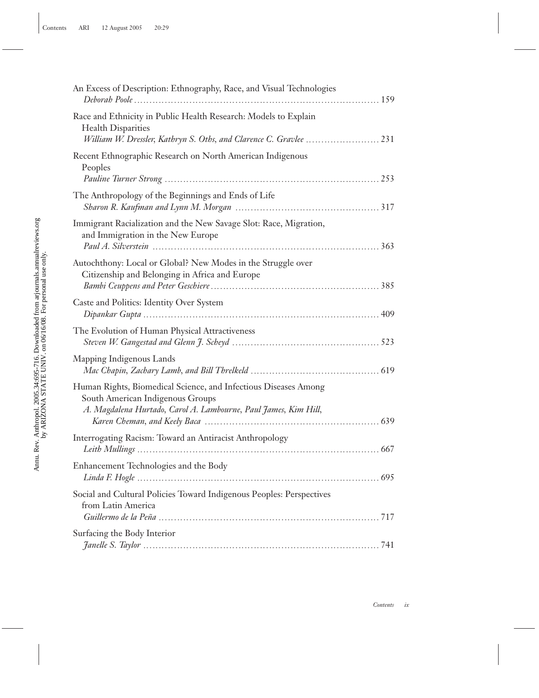| Race and Ethnicity in Public Health Research: Models to Explain<br><b>Health Disparities</b><br>Recent Ethnographic Research on North American Indigenous<br>Peoples<br>The Anthropology of the Beginnings and Ends of Life<br>Immigrant Racialization and the New Savage Slot: Race, Migration,<br>and Immigration in the New Europe<br>Autochthony: Local or Global? New Modes in the Struggle over<br>Citizenship and Belonging in Africa and Europe<br>Caste and Politics: Identity Over System<br>The Evolution of Human Physical Attractiveness<br>Mapping Indigenous Lands<br>Human Rights, Biomedical Science, and Infectious Diseases Among<br>South American Indigenous Groups<br>A. Magdalena Hurtado, Carol A. Lambourne, Paul James, Kim Hill,<br>Interrogating Racism: Toward an Antiracist Anthropology<br>Enhancement Technologies and the Body<br>Social and Cultural Policies Toward Indigenous Peoples: Perspectives<br>from Latin America<br>Surfacing the Body Interior | An Excess of Description: Ethnography, Race, and Visual Technologies |  |
|----------------------------------------------------------------------------------------------------------------------------------------------------------------------------------------------------------------------------------------------------------------------------------------------------------------------------------------------------------------------------------------------------------------------------------------------------------------------------------------------------------------------------------------------------------------------------------------------------------------------------------------------------------------------------------------------------------------------------------------------------------------------------------------------------------------------------------------------------------------------------------------------------------------------------------------------------------------------------------------------|----------------------------------------------------------------------|--|
|                                                                                                                                                                                                                                                                                                                                                                                                                                                                                                                                                                                                                                                                                                                                                                                                                                                                                                                                                                                              |                                                                      |  |
|                                                                                                                                                                                                                                                                                                                                                                                                                                                                                                                                                                                                                                                                                                                                                                                                                                                                                                                                                                                              |                                                                      |  |
|                                                                                                                                                                                                                                                                                                                                                                                                                                                                                                                                                                                                                                                                                                                                                                                                                                                                                                                                                                                              |                                                                      |  |
|                                                                                                                                                                                                                                                                                                                                                                                                                                                                                                                                                                                                                                                                                                                                                                                                                                                                                                                                                                                              |                                                                      |  |
|                                                                                                                                                                                                                                                                                                                                                                                                                                                                                                                                                                                                                                                                                                                                                                                                                                                                                                                                                                                              |                                                                      |  |
|                                                                                                                                                                                                                                                                                                                                                                                                                                                                                                                                                                                                                                                                                                                                                                                                                                                                                                                                                                                              |                                                                      |  |
|                                                                                                                                                                                                                                                                                                                                                                                                                                                                                                                                                                                                                                                                                                                                                                                                                                                                                                                                                                                              |                                                                      |  |
|                                                                                                                                                                                                                                                                                                                                                                                                                                                                                                                                                                                                                                                                                                                                                                                                                                                                                                                                                                                              |                                                                      |  |
|                                                                                                                                                                                                                                                                                                                                                                                                                                                                                                                                                                                                                                                                                                                                                                                                                                                                                                                                                                                              |                                                                      |  |
|                                                                                                                                                                                                                                                                                                                                                                                                                                                                                                                                                                                                                                                                                                                                                                                                                                                                                                                                                                                              |                                                                      |  |
|                                                                                                                                                                                                                                                                                                                                                                                                                                                                                                                                                                                                                                                                                                                                                                                                                                                                                                                                                                                              |                                                                      |  |
|                                                                                                                                                                                                                                                                                                                                                                                                                                                                                                                                                                                                                                                                                                                                                                                                                                                                                                                                                                                              |                                                                      |  |
|                                                                                                                                                                                                                                                                                                                                                                                                                                                                                                                                                                                                                                                                                                                                                                                                                                                                                                                                                                                              |                                                                      |  |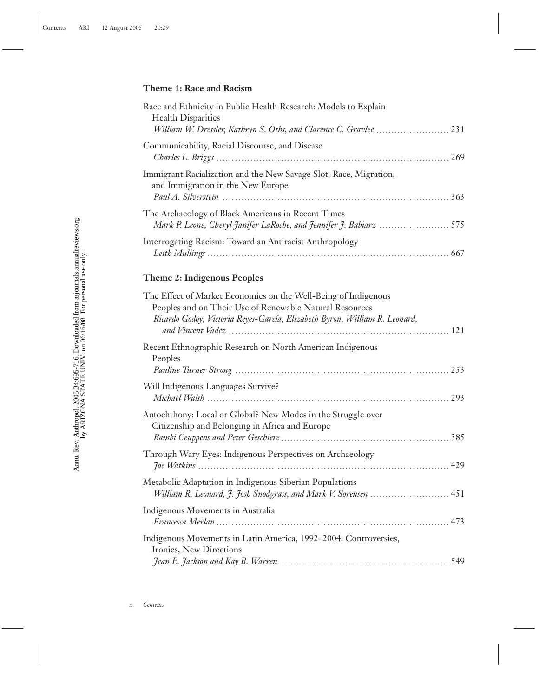## **Theme 1: Race and Racism**

| Race and Ethnicity in Public Health Research: Models to Explain                                        |
|--------------------------------------------------------------------------------------------------------|
| <b>Health Disparities</b>                                                                              |
| Communicability, Racial Discourse, and Disease                                                         |
| Immigrant Racialization and the New Savage Slot: Race, Migration,<br>and Immigration in the New Europe |
| The Archaeology of Black Americans in Recent Times                                                     |
| Interrogating Racism: Toward an Antiracist Anthropology                                                |

## **Theme 2: Indigenous Peoples**

| The Effect of Market Economies on the Well-Being of Indigenous<br>Peoples and on Their Use of Renewable Natural Resources<br>Ricardo Godoy, Victoria Reyes-García, Elizabeth Byron, William R. Leonard, |  |
|---------------------------------------------------------------------------------------------------------------------------------------------------------------------------------------------------------|--|
|                                                                                                                                                                                                         |  |
| Recent Ethnographic Research on North American Indigenous<br>Peoples                                                                                                                                    |  |
|                                                                                                                                                                                                         |  |
| Will Indigenous Languages Survive?                                                                                                                                                                      |  |
| Autochthony: Local or Global? New Modes in the Struggle over<br>Citizenship and Belonging in Africa and Europe                                                                                          |  |
| Through Wary Eyes: Indigenous Perspectives on Archaeology                                                                                                                                               |  |
| Metabolic Adaptation in Indigenous Siberian Populations<br>William R. Leonard, J. Josh Snodgrass, and Mark V. Sorensen  451                                                                             |  |
| Indigenous Movements in Australia                                                                                                                                                                       |  |
| Indigenous Movements in Latin America, 1992–2004: Controversies,<br>Ironies, New Directions                                                                                                             |  |
|                                                                                                                                                                                                         |  |